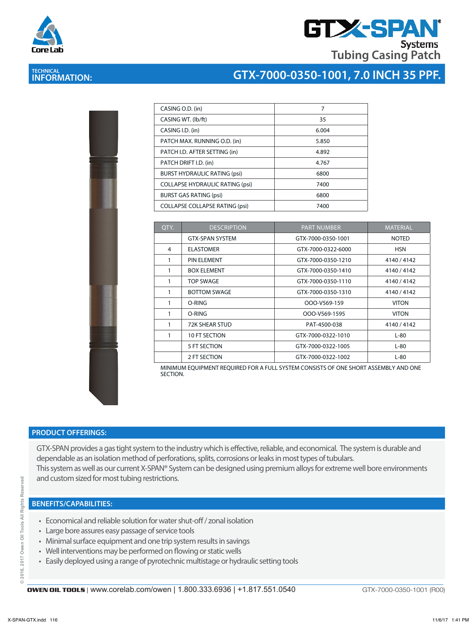



# **TECHNICAL INFORMATION:**

# **GTX-7000-0350-1001, 7.0 INCH 35 PPF.**

| CASING O.D. (in)                       | 7     |
|----------------------------------------|-------|
| CASING WT. (Ib/ft)                     | 35    |
| CASING I.D. (in)                       | 6.004 |
| PATCH MAX. RUNNING O.D. (in)           | 5.850 |
| PATCH I.D. AFTER SETTING (in)          | 4.892 |
| PATCH DRIFT I.D. (in)                  | 4.767 |
| <b>BURST HYDRAULIC RATING (psi)</b>    | 6800  |
| <b>COLLAPSE HYDRAULIC RATING (psi)</b> | 7400  |
| <b>BURST GAS RATING (psi)</b>          | 6800  |
| <b>COLLAPSE COLLAPSE RATING (psi)</b>  | 7400  |

| QTY. | <b>DESCRIPTION</b>     | <b>PART NUMBER</b> | <b>MATERIAL</b> |
|------|------------------------|--------------------|-----------------|
|      | <b>GTX-SPAN SYSTEM</b> | GTX-7000-0350-1001 | <b>NOTED</b>    |
| 4    | <b>ELASTOMER</b>       | GTX-7000-0322-6000 | <b>HSN</b>      |
|      | PIN ELEMENT            | GTX-7000-0350-1210 | 4140 / 4142     |
|      | <b>BOX ELEMENT</b>     | GTX-7000-0350-1410 | 4140 / 4142     |
| 1    | TOP SWAGE              | GTX-7000-0350-1110 | 4140/4142       |
|      | <b>BOTTOM SWAGE</b>    | GTX-7000-0350-1310 | 4140 / 4142     |
| 1    | O-RING                 | OOO-V569-159       | <b>VITON</b>    |
|      | O-RING                 | OOO-V569-1595      | <b>VITON</b>    |
| 1    | 72K SHEAR STUD         | PAT-4500-038       | 4140 / 4142     |
| 1    | 10 FT SECTION          | GTX-7000-0322-1010 | L-80            |
|      | 5 FT SECTION           | GTX-7000-0322-1005 | $L-80$          |
|      | 2 FT SECTION           | GTX-7000-0322-1002 | $L-80$          |

MINIMUM EQUIPMENT REQUIRED FOR A FULL SYSTEM CONSISTS OF ONE SHORT ASSEMBLY AND ONE SECTION.

#### **PRODUCT OFFERINGS:**

GTX-SPAN provides a gas tight system to the industry which is effective, reliable, and economical. The system is durable and dependable as an isolation method of perforations, splits, corrosions or leaks in most types of tubulars. This system as well as our current X-SPAN® System can be designed using premium alloys for extreme well bore environments and custom sized for most tubing restrictions.

#### **BENEFITS/CAPABILITIES:**

- Economical and reliable solution for water shut-off / zonal isolation
- Large bore assures easy passage of service tools
- Minimal surface equipment and one trip system results in savings
- Well interventions may be performed on flowing or static wells
- Easily deployed using a range of pyrotechnic multistage or hydraulic setting tools

GTX-7000-0350-1001 (R00)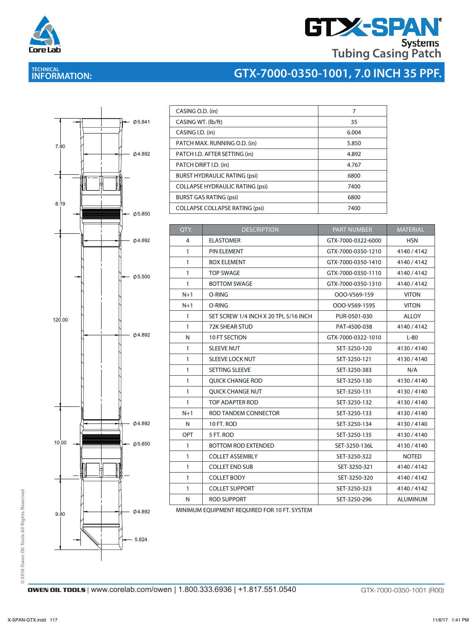

# **GTX-SPAN Tubing Casing Patch**

# **TECHNICAL INFORMATION:**

## **GTX-7000-0350-1001, 7.0 INCH 35 PPF.**



| CASING O.D. (in)                       | 7     |
|----------------------------------------|-------|
| CASING WT. (lb/ft)                     | 35    |
| CASING I.D. (in)                       | 6.004 |
| PATCH MAX. RUNNING O.D. (in)           | 5.850 |
| PATCH I.D. AFTER SETTING (in)          | 4.892 |
| PATCH DRIFT I.D. (in)                  | 4.767 |
| <b>BURST HYDRAULIC RATING (psi)</b>    | 6800  |
| <b>COLLAPSE HYDRAULIC RATING (psi)</b> | 7400  |
| <b>BURST GAS RATING (psi)</b>          | 6800  |
| <b>COLLAPSE COLLAPSE RATING (psi)</b>  | 7400  |

| QTY.         | <b>DESCRIPTION</b>                     | <b>PART NUMBER</b> | <b>MATERIAL</b> |  |
|--------------|----------------------------------------|--------------------|-----------------|--|
| 4            | <b>ELASTOMER</b>                       | GTX-7000-0322-6000 | <b>HSN</b>      |  |
| $\mathbf{1}$ | PIN ELEMENT                            | GTX-7000-0350-1210 | 4140 / 4142     |  |
| $\mathbf{1}$ | <b>BOX ELEMENT</b>                     | GTX-7000-0350-1410 | 4140 / 4142     |  |
| $\mathbf{1}$ | <b>TOP SWAGE</b>                       | GTX-7000-0350-1110 | 4140 / 4142     |  |
| $\mathbf{1}$ | <b>BOTTOM SWAGE</b>                    | GTX-7000-0350-1310 | 4140 / 4142     |  |
| $N+1$        | O-RING                                 | OOO-V569-159       | <b>VITON</b>    |  |
| $N+1$        | O-RING                                 | OOO-V569-1595      | <b>VITON</b>    |  |
| $\mathbf{1}$ | SET SCREW 1/4 INCH X 20 TPI, 5/16 INCH | PUR-0501-030       | <b>ALLOY</b>    |  |
| $\mathbf{1}$ | <b>72K SHEAR STUD</b>                  | PAT-4500-038       | 4140 / 4142     |  |
| N            | 10 FT SECTION                          | GTX-7000-0322-1010 | $L-80$          |  |
| $\mathbf{1}$ | <b>SLEEVE NUT</b>                      | SET-3250-120       | 4130/4140       |  |
| $\mathbf{1}$ | SLEEVE LOCK NUT                        | SET-3250-121       | 4130/4140       |  |
| $\mathbf{1}$ | SETTING SLEEVE                         | SET-3250-383       | N/A             |  |
| $\mathbf{1}$ | <b>OUICK CHANGE ROD</b>                | SET-3250-130       | 4130/4140       |  |
| $\mathbf{1}$ | <b>OUICK CHANGE NUT</b>                | SET-3250-131       | 4130/4140       |  |
| $\mathbf{1}$ | TOP ADAPTER ROD                        | SET-3250-132       | 4130/4140       |  |
| $N+1$        | ROD TANDEM CONNECTOR                   | SET-3250-133       | 4130/4140       |  |
| $\mathsf{N}$ | 10 FT. ROD                             | SET-3250-134       | 4130/4140       |  |
| OPT          | 5 FT. ROD                              | SET-3250-135       | 4130/4140       |  |
| $\mathbf{1}$ | <b>BOTTOM ROD EXTENDED</b>             | SET-3250-136L      | 4130/4140       |  |
| $\mathbf{1}$ | <b>COLLET ASSEMBLY</b>                 | SET-3250-322       | <b>NOTED</b>    |  |
| $\mathbf{1}$ | <b>COLLET END SUB</b>                  | SET-3250-321       | 4140/4142       |  |
| $\mathbf{1}$ | <b>COLLET BODY</b>                     | SET-3250-320       | 4140 / 4142     |  |
| $\mathbf{1}$ | <b>COLLET SUPPORT</b>                  | SET-3250-323       | 4140 / 4142     |  |
| N            | <b>ROD SUPPORT</b>                     | SET-3250-296       | <b>ALUMINUM</b> |  |

MINIMUM EQUIPMENT REQUIRED FOR 10 FT. SYSTEM

© 2016 Owen Oil Tools All Rights Reserved **© 2016 Owen Oil Tools All Rights Reserved**